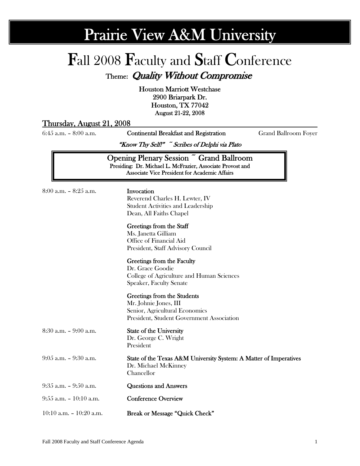# Prairie View A&M University

# Fall 2008 Faculty and Staff Conference

Theme: Quality Without Compromise

Houston Marriott Westchase 2900 Briarpark Dr. Houston, TX 77042 August 21-22, 2008

### Thursday, August 21, 2008

6:45 a.m. – 8:00 a.m. Continental Breakfast and Registration Grand Ballroom Foyer

"Know Thy Self!" ~ Scribes of Delphi via Plato

Opening Plenary Session ~ Grand Ballroom Presiding: Dr. Michael L. McFrazier, Associate Provost and Associate Vice President for Academic Affairs

| 8:00 a.m. – 8:25 a.m. |  |  |
|-----------------------|--|--|
|                       |  |  |

### $8:25$  a.m. **Invocation**

 Reverend Charles H. Lewter, IV Student Activities and Leadership Dean, All Faiths Chapel

#### Greetings from the Staff

 Ms. Janetta Gilliam Office of Financial Aid President, Staff Advisory Council

#### Greetings from the Faculty

Dr. Grace Goodie College of Agriculture and Human Sciences Speaker, Faculty Senate

#### Greetings from the Students

Mr. Johnie Jones, III Senior, Agricultural Economics President, Student Government Association

8:30 a.m. – 9:00 a.m. State of the University

# Dr. George C. Wright

President

#### 9:05 a.m. – 9:30 a.m. State of the Texas A&M University System: A Matter of Imperatives Dr. Michael McKinney Chancellor

- 9:35 a.m. 9:50 a.m. Questions and Answers
- 9:55 a.m. 10:10 a.m. Conference Overview
- 10:10 a.m. 10:20 a.m. Break or Message "Quick Check"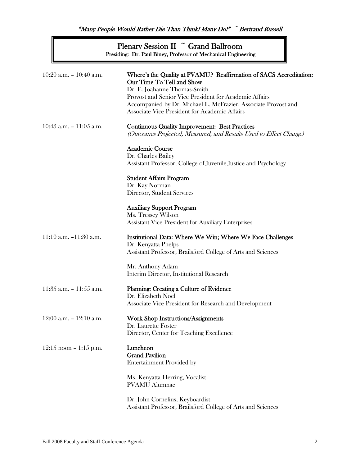"Many People Would Rather Die Than Think! Many Do!" ~ Bertrand Russell i

> Plenary Session II ~ Grand Ballroom Presiding: Dr. Paul Biney, Professor of Mechanical Engineering

| $10:20$ a.m. $- 10:40$ a.m. | Where's the Quality at PVAMU? Reaffirmation of SACS Accreditation:<br>Our Time To Tell and Show<br>Dr. E. Joahanne Thomas-Smith<br>Provost and Senior Vice President for Academic Affairs<br>Accompanied by Dr. Michael L. McFrazier, Associate Provost and<br>Associate Vice President for Academic Affairs |
|-----------------------------|--------------------------------------------------------------------------------------------------------------------------------------------------------------------------------------------------------------------------------------------------------------------------------------------------------------|
| $10:45$ a.m. $-11:05$ a.m.  | <b>Continuous Quality Improvement: Best Practices</b><br>(Outcomes Projected, Measured, and Results Used to Effect Change)                                                                                                                                                                                   |
|                             | <b>Academic Course</b><br>Dr. Charles Bailey<br>Assistant Professor, College of Juvenile Justice and Psychology                                                                                                                                                                                              |
|                             | <b>Student Affairs Program</b><br>Dr. Kay Norman<br>Director, Student Services                                                                                                                                                                                                                               |
|                             | <b>Auxiliary Support Program</b><br>Ms. Tressey Wilson<br><b>Assistant Vice President for Auxiliary Enterprises</b>                                                                                                                                                                                          |
| 11:10 a.m. $-11:30$ a.m.    | Institutional Data: Where We Win; Where We Face Challenges<br>Dr. Kenyatta Phelps<br>Assistant Professor, Brailsford College of Arts and Sciences                                                                                                                                                            |
|                             | Mr. Anthony Adam<br>Interim Director, Institutional Research                                                                                                                                                                                                                                                 |
| $11:35$ a.m. $-11:55$ a.m.  | Planning: Creating a Culture of Evidence<br>Dr. Elizabeth Noel<br>Associate Vice President for Research and Development                                                                                                                                                                                      |
| 12:00 a.m. $-$ 12:10 a.m.   | <b>Work Shop Instructions/Assignments</b><br>Dr. Laurette Foster<br>Director, Center for Teaching Excellence                                                                                                                                                                                                 |
| $12:15$ noon - $1:15$ p.m.  | Luncheon<br><b>Grand Pavilion</b><br><b>Entertainment Provided by</b>                                                                                                                                                                                                                                        |
|                             | Ms. Kenyatta Herring, Vocalist<br><b>PVAMU</b> Alumnae                                                                                                                                                                                                                                                       |
|                             | Dr. John Cornelius, Keyboardist<br>Assistant Professor, Brailsford College of Arts and Sciences                                                                                                                                                                                                              |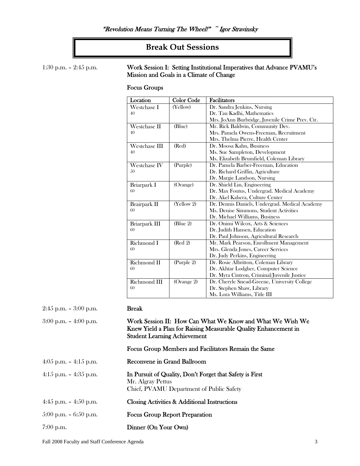## **Break Out Sessions**

### 1:30 p.m. – 2:45 p.m. Work Session I: Setting Institutional Imperatives that Advance PVAMU's Mission and Goals in a Climate of Change

### Focus Groups

| Location      | <b>Color Code</b> | Facilitators                                    |
|---------------|-------------------|-------------------------------------------------|
| Westchase I   | (Yellow)          | Dr. Sandra Jenkins, Nursing                     |
| 40            |                   | Dr. Tau Kadhi, Mathematics                      |
|               |                   | Mrs. JoAnn Burbridge, Juvenile Crime Prev. Ctr. |
| Westchase II  | (Blue)            | Mr. Rick Baldwin, Community Dev.                |
| 40            |                   | Mrs. Pamela Owens-Freeman, Recruitment          |
|               |                   | Mrs. Thelma Pierre, Health Center               |
| Westchase III | (Red)             | Dr. Moosa Kahn, Business                        |
| 40            |                   | Ms. Sue Sampleton, Development                  |
|               |                   | Ms. Elizabeth Brumfield, Coleman Library        |
| Westchase IV  | (Purple)          | Dr. Pamela Barber-Freeman, Education            |
| 50            |                   | Dr. Richard Griffin, Agriculture                |
|               |                   | Dr. Margie Landson, Nursing                     |
| Briarpark I   | (Orange)          | Dr. Shield Lin, Engineering                     |
| 60            |                   | Dr. Max Foutus, Undergrad. Medical Academy      |
|               |                   | Dr. Akel Kahera, Culture Center                 |
| Brairpark II  | (Yellow 2)        | Dr. Dennis Daniels, Undergrad. Medical Academy  |
| 60            |                   | Ms. Denise Simmons, Student Activities          |
|               |                   | Dr. Michael Williams, Business                  |
| Briarpark III | Blue 2            | Dr. Onimi Wilcox, Arts & Sciences               |
| 60            |                   | Dr. Judith Hansen, Education                    |
|               |                   | Dr. Paul Johnson, Agricultural Research         |
| Richmond I    | (Red 2)           | Mr. Mark Pearson, Enrollment Management         |
| 60            |                   | Mrs. Glenda Jones, Career Services              |
|               |                   | Dr. Judy Perkins, Engineering                   |
| Richmond II   | (Purple 2)        | Dr. Rosie Albritton, Coleman Library            |
| 60            |                   | Dr. Akhtar Lodgher, Computer Science            |
|               |                   | Dr. Myra Cintron, Criminal/Juvenile Justice     |
| Richmond III  | (Orange 2)        | Dr. Cheryle Snead-Greene, University College    |
| 60            |                   | Dr. Stephen Shaw, Library                       |
|               |                   | Ms. Lora Williams, Title III                    |

| $2:45$ p.m. $-3:00$ p.m. | <b>Break</b>                                                                                                                                                        |
|--------------------------|---------------------------------------------------------------------------------------------------------------------------------------------------------------------|
| $3:00$ p.m. $-4:00$ p.m. | Work Session II: How Can What We Know and What We Wish We<br>Knew Yield a Plan for Raising Measurable Quality Enhancement in<br><b>Student Learning Achievement</b> |
|                          | Focus Group Members and Facilitators Remain the Same                                                                                                                |
| 4:05 p.m. $-4:15$ p.m.   | Reconvene in Grand Ballroom                                                                                                                                         |
| $4:15$ p.m. $-4:35$ p.m. | In Pursuit of Quality, Don't Forget that Safety is First<br>Mr. Algray Pettus<br>Chief, PVAMU Department of Public Safety                                           |
| 4:45 p.m. $-$ 4:50 p.m.  | Closing Activities & Additional Instructions                                                                                                                        |
| $5:00$ p.m. $-6:50$ p.m. | <b>Focus Group Report Preparation</b>                                                                                                                               |
| $7:00$ p.m.              | Dinner (On Your Own)                                                                                                                                                |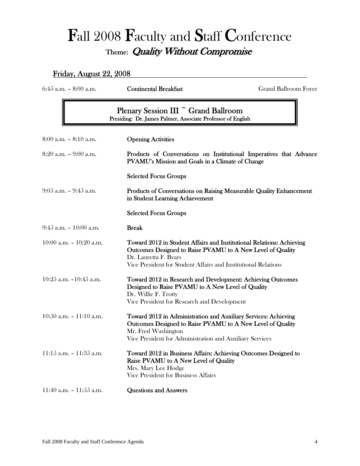# Fall 2008 Faculty and Staff Conference Theme: Quality Without Compromise

## Friday, August 22, 2008

| 6:45 a.m. - 8:00 a.m.       | <b>Continental Breakfast</b>                                                                                                                                                                                                   | <b>Grand Ballroom Foyer</b>                                         |
|-----------------------------|--------------------------------------------------------------------------------------------------------------------------------------------------------------------------------------------------------------------------------|---------------------------------------------------------------------|
|                             | Plenary Session III ~ Grand Ballroom<br>Presiding: Dr. James Palmer, Associate Professor of English                                                                                                                            |                                                                     |
| $8:00$ a.m. $-8:10$ a.m.    | <b>Opening Activities</b>                                                                                                                                                                                                      |                                                                     |
| $8:20$ a.m. $-9:00$ a.m.    | PVAMU's Mission and Goals in a Climate of Change                                                                                                                                                                               | Products of Conversations on Institutional Imperatives that Advance |
|                             | <b>Selected Focus Groups</b>                                                                                                                                                                                                   |                                                                     |
| 9:05 a.m. - 9:45 a.m.       | in Student Learning Achievement                                                                                                                                                                                                | Products of Conversations on Raising Measurable Quality Enhancement |
|                             | <b>Selected Focus Groups</b>                                                                                                                                                                                                   |                                                                     |
| $9:45$ a.m. $-10:00$ a.m.   | <b>Break</b>                                                                                                                                                                                                                   |                                                                     |
| 10:00 a.m. $- 10:20$ a.m.   | Toward 2012 in Student Affairs and Institutional Relations: Achieving<br>Outcomes Designed to Raise PVAMU to A New Level of Quality<br>Dr. Lauretta F. Byars<br>Vice President for Student Affairs and Institutional Relations |                                                                     |
| 10:25 a.m. $-10:45$ a.m.    | Toward 2012 in Research and Development: Achieving Outcomes<br>Designed to Raise PVAMU to A New Level of Quality<br>Dr. Willie F. Trotty<br>Vice President for Research and Development                                        |                                                                     |
| $10:50$ a.m. $- 11:10$ a.m. | Toward 2012 in Administration and Auxiliary Services: Achieving<br>Outcomes Designed to Raise PVAMU to A New Level of Quality<br>Mr. Fred Washington<br>Vice President for Administration and Auxiliary Services               |                                                                     |
| $11:15$ a.m. $-11:35$ a.m.  | Toward 2012 in Business Affairs: Achieving Outcomes Designed to<br>Raise PVAMU to A New Level of Quality<br>Mrs. Mary Lee Hodge<br>Vice President for Business Affairs                                                         |                                                                     |
| 11:40 a.m. $- 11:55$ a.m.   | <b>Questions and Answers</b>                                                                                                                                                                                                   |                                                                     |